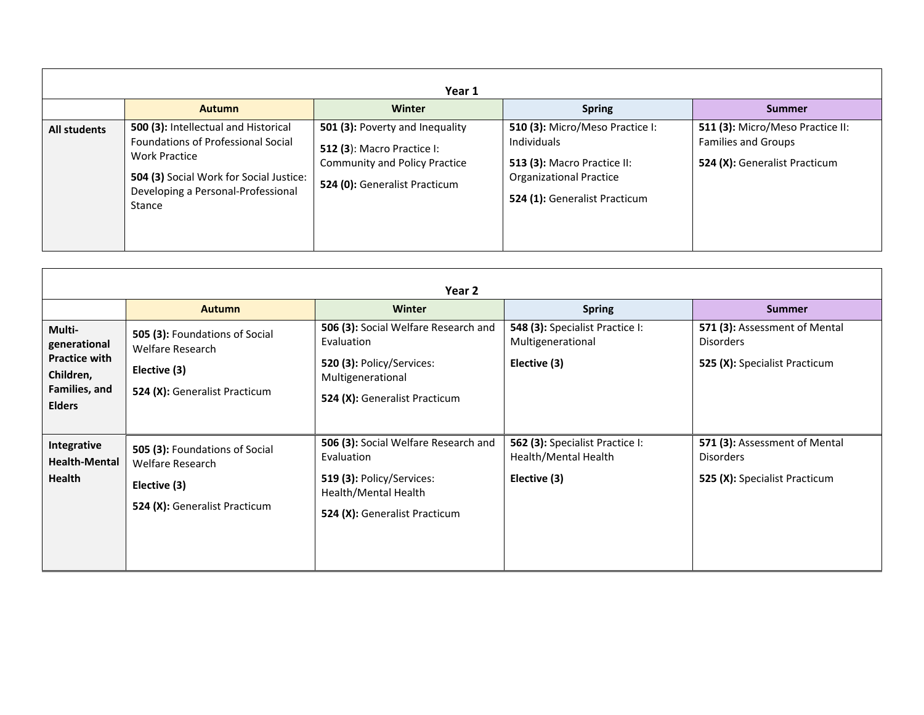|                     |                                                                                                                                                                                                      | Year 1                                                                                                                                        |                                                                                                                                                  |                                                                                                 |
|---------------------|------------------------------------------------------------------------------------------------------------------------------------------------------------------------------------------------------|-----------------------------------------------------------------------------------------------------------------------------------------------|--------------------------------------------------------------------------------------------------------------------------------------------------|-------------------------------------------------------------------------------------------------|
|                     | <b>Autumn</b>                                                                                                                                                                                        | Winter                                                                                                                                        | <b>Spring</b>                                                                                                                                    | <b>Summer</b>                                                                                   |
| <b>All students</b> | 500 (3): Intellectual and Historical<br><b>Foundations of Professional Social</b><br><b>Work Practice</b><br>504 (3) Social Work for Social Justice:<br>Developing a Personal-Professional<br>Stance | 501 (3): Poverty and Inequality<br><b>512 (3): Macro Practice I:</b><br><b>Community and Policy Practice</b><br>524 (0): Generalist Practicum | 510 (3): Micro/Meso Practice I:<br>Individuals<br>513 (3): Macro Practice II:<br><b>Organizational Practice</b><br>524 (1): Generalist Practicum | 511 (3): Micro/Meso Practice II:<br><b>Families and Groups</b><br>524 (X): Generalist Practicum |

|                                                             |                                                                                                            | Year 2                                                                                                                                   |                                                                         |                                                                                    |
|-------------------------------------------------------------|------------------------------------------------------------------------------------------------------------|------------------------------------------------------------------------------------------------------------------------------------------|-------------------------------------------------------------------------|------------------------------------------------------------------------------------|
|                                                             | <b>Autumn</b>                                                                                              | <b>Winter</b>                                                                                                                            | <b>Spring</b>                                                           | <b>Summer</b>                                                                      |
| Multi-<br>generational<br><b>Practice with</b><br>Children, | 505 (3): Foundations of Social<br>Welfare Research<br>Elective (3)                                         | 506 (3): Social Welfare Research and<br>Evaluation<br>520 (3): Policy/Services:<br>Multigenerational                                     | 548 (3): Specialist Practice I:<br>Multigenerational<br>Elective (3)    | 571 (3): Assessment of Mental<br><b>Disorders</b><br>525 (X): Specialist Practicum |
| Families, and<br><b>Elders</b>                              | 524 (X): Generalist Practicum                                                                              | 524 (X): Generalist Practicum                                                                                                            |                                                                         |                                                                                    |
| Integrative<br><b>Health-Mental</b><br><b>Health</b>        | 505 (3): Foundations of Social<br><b>Welfare Research</b><br>Elective (3)<br>524 (X): Generalist Practicum | 506 (3): Social Welfare Research and<br>Evaluation<br>519 (3): Policy/Services:<br>Health/Mental Health<br>524 (X): Generalist Practicum | 562 (3): Specialist Practice I:<br>Health/Mental Health<br>Elective (3) | 571 (3): Assessment of Mental<br><b>Disorders</b><br>525 (X): Specialist Practicum |